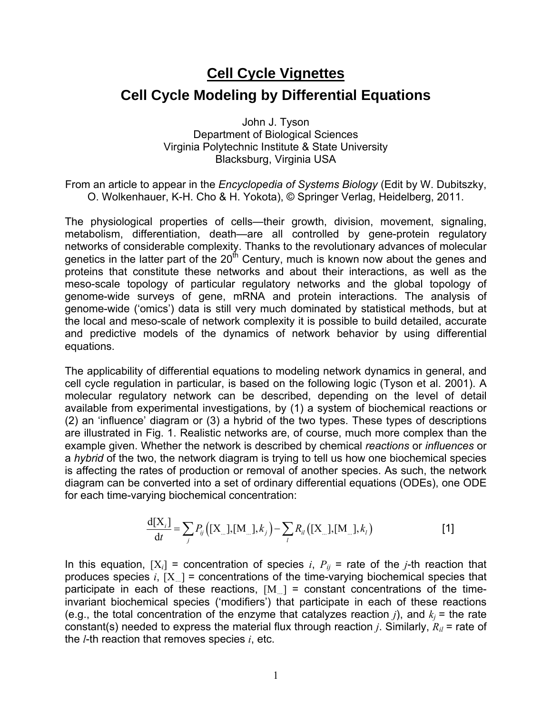# **Cell Cycle Vignettes Cell Cycle Modeling by Differential Equations**

John J. Tyson Department of Biological Sciences Virginia Polytechnic Institute & State University Blacksburg, Virginia USA

From an article to appear in the *Encyclopedia of Systems Biology* (Edit by W. Dubitszky, O. Wolkenhauer, K-H. Cho & H. Yokota), © Springer Verlag, Heidelberg, 2011.

The physiological properties of cells—their growth, division, movement, signaling, metabolism, differentiation, death—are all controlled by gene-protein regulatory networks of considerable complexity. Thanks to the revolutionary advances of molecular genetics in the latter part of the  $20<sup>th</sup>$  Century, much is known now about the genes and proteins that constitute these networks and about their interactions, as well as the meso-scale topology of particular regulatory networks and the global topology of genome-wide surveys of gene, mRNA and protein interactions. The analysis of genome-wide ('omics') data is still very much dominated by statistical methods, but at the local and meso-scale of network complexity it is possible to build detailed, accurate and predictive models of the dynamics of network behavior by using differential equations.

The applicability of differential equations to modeling network dynamics in general, and cell cycle regulation in particular, is based on the following logic (Tyson et al. 2001). A molecular regulatory network can be described, depending on the level of detail available from experimental investigations, by (1) a system of biochemical reactions or (2) an 'influence' diagram or (3) a hybrid of the two types. These types of descriptions are illustrated in Fig. 1. Realistic networks are, of course, much more complex than the example given. Whether the network is described by chemical *reactions* or *influences* or a *hybrid* of the two, the network diagram is trying to tell us how one biochemical species is affecting the rates of production or removal of another species. As such, the network diagram can be converted into a set of ordinary differential equations (ODEs), one ODE for each time-varying biochemical concentration:

$$
\frac{d[X_i]}{dt} = \sum_j P_{ij} ([X_{...}], [M_{...}], k_j) - \sum_l R_{il} ([X_{...}], [M_{...}], k_l)
$$
 [1]

In this equation,  $[X_i]$  = concentration of species *i*,  $P_{ij}$  = rate of the *j*-th reaction that produces species *i*, [X*…*] = concentrations of the time-varying biochemical species that participate in each of these reactions, [M*…*] = constant concentrations of the timeinvariant biochemical species ('modifiers') that participate in each of these reactions (e.g., the total concentration of the enzyme that catalyzes reaction  $i$ ), and  $k<sub>i</sub>$  = the rate constant(s) needed to express the material flux through reaction *j*. Similarly,  $R_{il}$  = rate of the *l*-th reaction that removes species *i*, etc.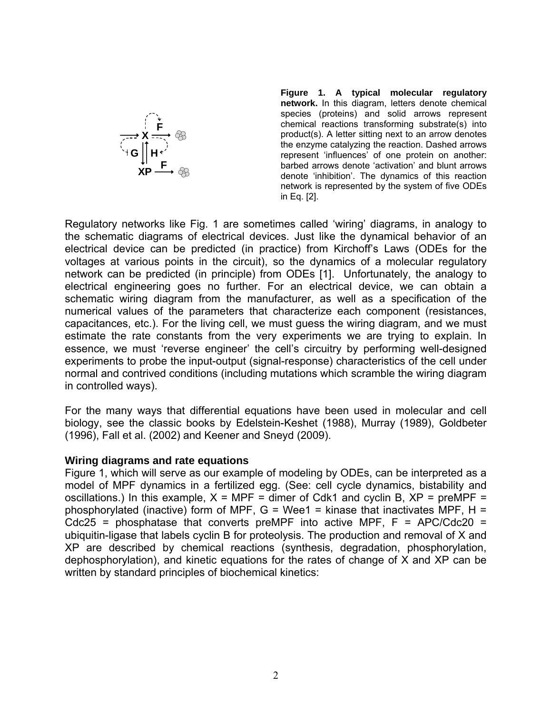$$
\overrightarrow{X} = \overrightarrow{F}
$$

**Figure 1. A typical molecular regulatory network.** In this diagram, letters denote chemical species (proteins) and solid arrows represent chemical reactions transforming substrate(s) into product(s). A letter sitting next to an arrow denotes the enzyme catalyzing the reaction. Dashed arrows represent 'influences' of one protein on another: barbed arrows denote 'activation' and blunt arrows denote 'inhibition'. The dynamics of this reaction network is represented by the system of five ODEs in Eq. [2].

Regulatory networks like Fig. 1 are sometimes called 'wiring' diagrams, in analogy to the schematic diagrams of electrical devices. Just like the dynamical behavior of an electrical device can be predicted (in practice) from Kirchoff's Laws (ODEs for the voltages at various points in the circuit), so the dynamics of a molecular regulatory network can be predicted (in principle) from ODEs [1]. Unfortunately, the analogy to electrical engineering goes no further. For an electrical device, we can obtain a schematic wiring diagram from the manufacturer, as well as a specification of the numerical values of the parameters that characterize each component (resistances, capacitances, etc.). For the living cell, we must guess the wiring diagram, and we must estimate the rate constants from the very experiments we are trying to explain. In essence, we must 'reverse engineer' the cell's circuitry by performing well-designed experiments to probe the input-output (signal-response) characteristics of the cell under normal and contrived conditions (including mutations which scramble the wiring diagram in controlled ways).

For the many ways that differential equations have been used in molecular and cell biology, see the classic books by Edelstein-Keshet (1988), Murray (1989), Goldbeter (1996), Fall et al. (2002) and Keener and Sneyd (2009).

## **Wiring diagrams and rate equations**

Figure 1, which will serve as our example of modeling by ODEs, can be interpreted as a model of MPF dynamics in a fertilized egg. (See: cell cycle dynamics, bistability and oscillations.) In this example,  $X = MPF =$  dimer of Cdk1 and cyclin B,  $XP =$  preMPF = phosphorylated (inactive) form of MPF,  $G = Wee1 = k$ inase that inactivates MPF, H = Cdc25 = phosphatase that converts preMPF into active MPF,  $F = APC/Cdc20$  = ubiquitin-ligase that labels cyclin B for proteolysis. The production and removal of X and XP are described by chemical reactions (synthesis, degradation, phosphorylation, dephosphorylation), and kinetic equations for the rates of change of X and XP can be written by standard principles of biochemical kinetics: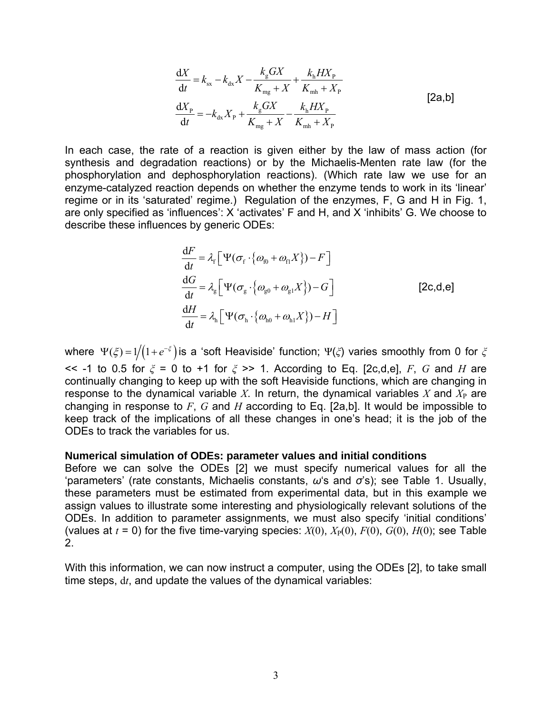$$
\frac{dX}{dt} = k_{sx} - k_{dx}X - \frac{k_{g}GX}{K_{mg} + X} + \frac{k_{h}HX_{p}}{K_{mh} + X_{p}}
$$
\n
$$
\frac{dX_{p}}{dt} = -k_{dx}X_{p} + \frac{k_{g}GX}{K_{mg} + X} - \frac{k_{h}HX_{p}}{K_{mh} + X_{p}}
$$
\n[2a,b]

In each case, the rate of a reaction is given either by the law of mass action (for synthesis and degradation reactions) or by the Michaelis-Menten rate law (for the phosphorylation and dephosphorylation reactions). (Which rate law we use for an enzyme-catalyzed reaction depends on whether the enzyme tends to work in its 'linear' regime or in its 'saturated' regime.) Regulation of the enzymes, F, G and H in Fig. 1, are only specified as 'influences': X 'activates' F and H, and X 'inhibits' G. We choose to describe these influences by generic ODEs:

$$
\frac{dF}{dt} = \lambda_{f} \left[ \Psi(\sigma_{f} \cdot \{\omega_{f} + \omega_{f} X\}) - F \right]
$$
\n
$$
\frac{dG}{dt} = \lambda_{g} \left[ \Psi(\sigma_{g} \cdot \{\omega_{g} + \omega_{g} X\}) - G \right]
$$
\n
$$
\frac{dH}{dt} = \lambda_{h} \left[ \Psi(\sigma_{h} \cdot \{\omega_{h} + \omega_{h} X\}) - H \right]
$$
\n
$$
\left[ 2c, d, e \right]
$$

where  $\Psi(\xi) = 1/(1 + e^{-\xi})$  is a 'soft Heaviside' function; Ψ(*ζ*) varies smoothly from 0 for *ξ* << -1 to 0.5 for *ξ* = 0 to +1 for *ξ* >> 1. According to Eq. [2c,d,e], *F*, *G* and *H* are continually changing to keep up with the soft Heaviside functions, which are changing in response to the dynamical variable *X*. In return, the dynamical variables *X* and  $X<sub>P</sub>$  are changing in response to *F*, *G* and *H* according to Eq. [2a,b]. It would be impossible to keep track of the implications of all these changes in one's head; it is the job of the ODEs to track the variables for us.

#### **Numerical simulation of ODEs: parameter values and initial conditions**

Before we can solve the ODEs [2] we must specify numerical values for all the 'parameters' (rate constants, Michaelis constants, *ω*'s and *σ*'s); see Table 1. Usually, these parameters must be estimated from experimental data, but in this example we assign values to illustrate some interesting and physiologically relevant solutions of the ODEs. In addition to parameter assignments, we must also specify 'initial conditions' (values at  $t = 0$ ) for the five time-varying species:  $X(0)$ ,  $X_P(0)$ ,  $F(0)$ ,  $G(0)$ ,  $H(0)$ ; see Table 2.

With this information, we can now instruct a computer, using the ODEs [2], to take small time steps, d*t*, and update the values of the dynamical variables: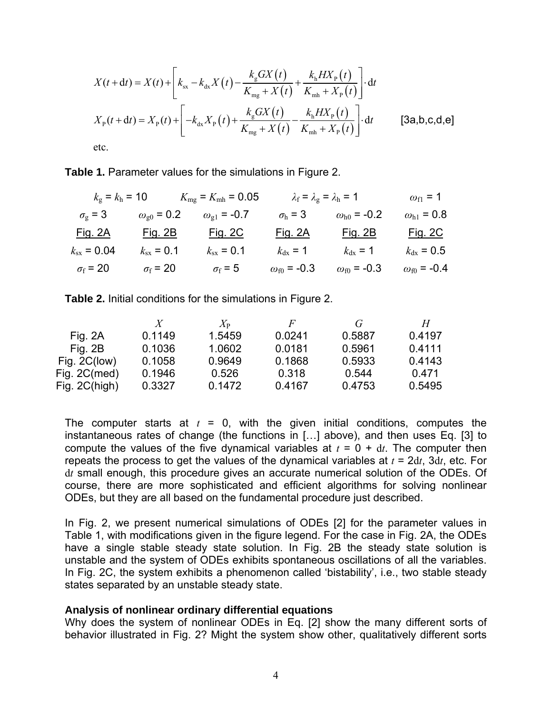$$
X(t + dt) = X(t) + \left[k_{sx} - k_{dx}X(t) - \frac{k_{g}GX(t)}{K_{mg} + X(t)} + \frac{k_{h}HX_{p}(t)}{K_{mh} + X_{p}(t)}\right] \cdot dt
$$
  

$$
X_{p}(t + dt) = X_{p}(t) + \left[-k_{dx}X_{p}(t) + \frac{k_{g}GX(t)}{K_{mg} + X(t)} - \frac{k_{h}HX_{p}(t)}{K_{mh} + X_{p}(t)}\right] \cdot dt
$$
 [3a,b,c,d,e]

etc.

**Table 1.** Parameter values for the simulations in Figure 2.

| $k_{\rm g} = k_{\rm h} = 10$ |                         | $K_{\rm mg} = K_{\rm mh} = 0.05$ |                          | $\lambda_f = \lambda_g = \lambda_h = 1$ | $\omega_{\rm fl}$ = 1    |
|------------------------------|-------------------------|----------------------------------|--------------------------|-----------------------------------------|--------------------------|
| $\sigma_{\rm g}$ = 3         | $\omega_{\rm g0}$ = 0.2 | $\omega_{\rm gl}$ = -0.7         | $\sigma_{\rm h}$ = 3     | $\omega_{h0}$ = -0.2                    | $\omega_{h1} = 0.8$      |
| <u>Fig. 2A</u>               | Fig. 2B                 | Fig. 2C                          | Fig. 2A                  | Fig. 2B                                 | Fig. 2C                  |
| $k_{\rm sx} = 0.04$          | $k_{\rm sx}$ = 0.1      | $k_{sx}$ = 0.1                   | $k_{\rm dx}$ = 1         | $k_{\rm dx}$ = 1                        | $k_{\rm dx} = 0.5$       |
| $\sigma_{\rm f}$ = 20        | $\sigma_f$ = 20         | $\sigma_{\rm f}$ = 5             | $\omega_{\rm f0}$ = -0.3 | $\omega_{\rm f0}$ = -0.3                | $\omega_{\rm f0}$ = -0.4 |

**Table 2.** Initial conditions for the simulations in Figure 2.

| $X_{-}$ | $X_{\rm P}$ | H      | $G \cdot$ | H      |
|---------|-------------|--------|-----------|--------|
| 0.1149  | 1.5459      | 0.0241 | 0.5887    | 0.4197 |
| 0.1036  | 1.0602      | 0.0181 | 0.5961    | 0.4111 |
| 0.1058  | 0.9649      | 0.1868 | 0.5933    | 0.4143 |
| 0.1946  | 0.526       | 0.318  | 0.544     | 0.471  |
| 0.3327  | 0.1472      | 0.4167 | 0.4753    | 0.5495 |
|         |             |        |           |        |

The computer starts at  $t = 0$ , with the given initial conditions, computes the instantaneous rates of change (the functions in […] above), and then uses Eq. [3] to compute the values of the five dynamical variables at  $t = 0 + dt$ . The computer then repeats the process to get the values of the dynamical variables at  $t = 2dt$ ,  $3dt$ , etc. For d*t* small enough, this procedure gives an accurate numerical solution of the ODEs. Of course, there are more sophisticated and efficient algorithms for solving nonlinear ODEs, but they are all based on the fundamental procedure just described.

In Fig. 2, we present numerical simulations of ODEs [2] for the parameter values in Table 1, with modifications given in the figure legend. For the case in Fig. 2A, the ODEs have a single stable steady state solution. In Fig. 2B the steady state solution is unstable and the system of ODEs exhibits spontaneous oscillations of all the variables. In Fig. 2C, the system exhibits a phenomenon called 'bistability', i.e., two stable steady states separated by an unstable steady state.

## **Analysis of nonlinear ordinary differential equations**

Why does the system of nonlinear ODEs in Eq. [2] show the many different sorts of behavior illustrated in Fig. 2? Might the system show other, qualitatively different sorts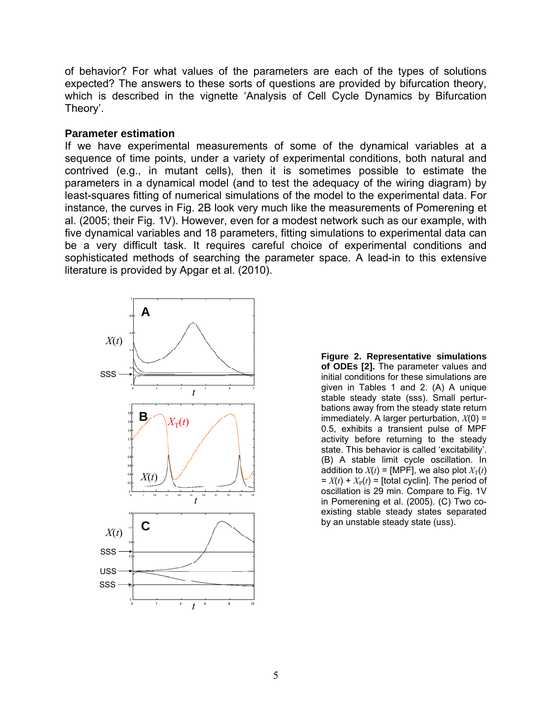of behavior? For what values of the parameters are each of the types of solutions expected? The answers to these sorts of questions are provided by bifurcation theory, which is described in the vignette 'Analysis of Cell Cycle Dynamics by Bifurcation Theory'.

#### **Parameter estimation**

If we have experimental measurements of some of the dynamical variables at a sequence of time points, under a variety of experimental conditions, both natural and contrived (e.g., in mutant cells), then it is sometimes possible to estimate the parameters in a dynamical model (and to test the adequacy of the wiring diagram) by least-squares fitting of numerical simulations of the model to the experimental data. For instance, the curves in Fig. 2B look very much like the measurements of Pomerening et al. (2005; their Fig. 1V). However, even for a modest network such as our example, with five dynamical variables and 18 parameters, fitting simulations to experimental data can be a very difficult task. It requires careful choice of experimental conditions and sophisticated methods of searching the parameter space. A lead-in to this extensive literature is provided by Apgar et al. (2010).



**Figure 2. Representative simulations of ODEs [2].** The parameter values and initial conditions for these simulations are given in Tables 1 and 2. (A) A unique stable steady state (sss). Small perturbations away from the steady state return immediately. A larger perturbation, *X*(0) = 0.5, exhibits a transient pulse of MPF activity before returning to the steady state. This behavior is called 'excitability'. (B) A stable limit cycle oscillation. In addition to  $X(t)$  = [MPF], we also plot  $X_T(t)$  $= X(t) + X_{P}(t) =$  [total cyclin]. The period of oscillation is 29 min. Compare to Fig. 1V in Pomerening et al. (2005). (C) Two coexisting stable steady states separated by an unstable steady state (uss).